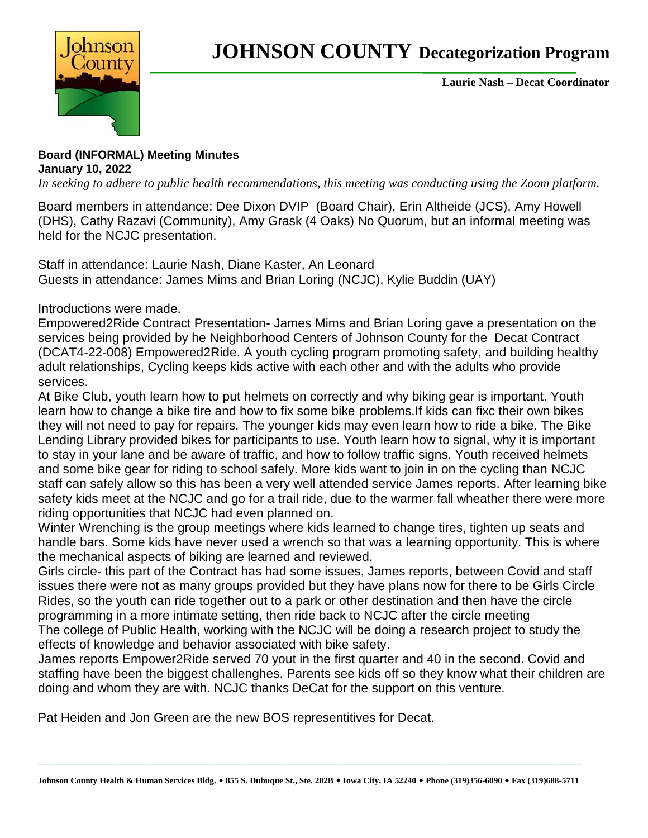

**Laurie Nash – Decat Coordinator**

## **Board (INFORMAL) Meeting Minutes January 10, 2022**

*In seeking to adhere to public health recommendations, this meeting was conducting using the Zoom platform.* 

Board members in attendance: Dee Dixon DVIP (Board Chair), Erin Altheide (JCS), Amy Howell (DHS), Cathy Razavi (Community), Amy Grask (4 Oaks) No Quorum, but an informal meeting was held for the NCJC presentation.

Staff in attendance: Laurie Nash, Diane Kaster, An Leonard Guests in attendance: James Mims and Brian Loring (NCJC), Kylie Buddin (UAY)

Introductions were made.

Empowered2Ride Contract Presentation- James Mims and Brian Loring gave a presentation on the services being provided by he Neighborhood Centers of Johnson County for the Decat Contract (DCAT4-22-008) Empowered2Ride. A youth cycling program promoting safety, and building healthy adult relationships, Cycling keeps kids active with each other and with the adults who provide services.

At Bike Club, youth learn how to put helmets on correctly and why biking gear is important. Youth learn how to change a bike tire and how to fix some bike problems.If kids can fixc their own bikes they will not need to pay for repairs. The younger kids may even learn how to ride a bike. The Bike Lending Library provided bikes for participants to use. Youth learn how to signal, why it is important to stay in your lane and be aware of traffic, and how to follow traffic signs. Youth received helmets and some bike gear for riding to school safely. More kids want to join in on the cycling than NCJC staff can safely allow so this has been a very well attended service James reports. After learning bike safety kids meet at the NCJC and go for a trail ride, due to the warmer fall wheather there were more riding opportunities that NCJC had even planned on.

Winter Wrenching is the group meetings where kids learned to change tires, tighten up seats and handle bars. Some kids have never used a wrench so that was a learning opportunity. This is where the mechanical aspects of biking are learned and reviewed.

Girls circle- this part of the Contract has had some issues, James reports, between Covid and staff issues there were not as many groups provided but they have plans now for there to be Girls Circle Rides, so the youth can ride together out to a park or other destination and then have the circle programming in a more intimate setting, then ride back to NCJC after the circle meeting The college of Public Health, working with the NCJC will be doing a research project to study the effects of knowledge and behavior associated with bike safety.

James reports Empower2Ride served 70 yout in the first quarter and 40 in the second. Covid and staffing have been the biggest challenghes. Parents see kids off so they know what their children are doing and whom they are with. NCJC thanks DeCat for the support on this venture.

Pat Heiden and Jon Green are the new BOS representitives for Decat.